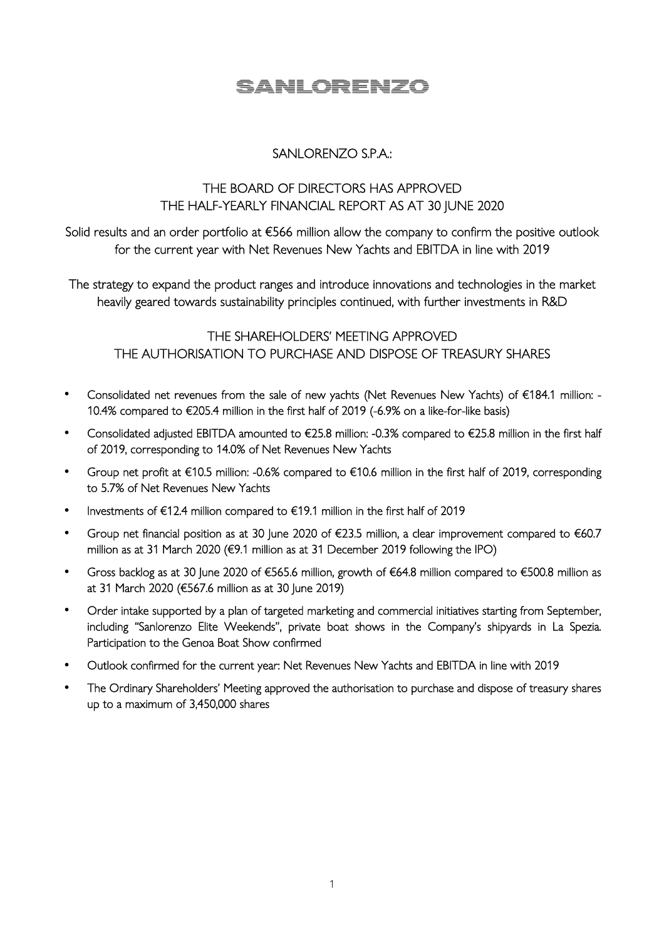# SANLORENZO

## SANLORENZO S.P.A.:

### THE BOARD OF DIRECTORS HAS APPROVED THE HALF-YEARLY FINANCIAL REPORT AS AT 30 JUNE 2020

Solid results and an order portfolio at €566 million allow the company to confirm the positive outlook for the current year with Net Revenues New Yachts and EBITDA in line with 2019

The strategy to expand the product ranges and introduce innovations and technologies in the market heavily geared towards sustainability principles continued, with further investments in R&D

THE SHAREHOLDERS' MEETING APPROVED THE AUTHORISATION TO PURCHASE AND DISPOSE OF TREASURY SHARES

- Consolidated net revenues from the sale of new yachts (Net Revenues New Yachts) of €184.1 million: 10.4% compared to €205.4 million in the first half of 2019 (-6.9% on a like-for-like basis)
- Consolidated adjusted EBITDA amounted to €25.8 million: -0.3% compared to €25.8 million in the first half of 2019, corresponding to 14.0% of Net Revenues New Yachts
- Group net profit at €10.5 million: -0.6% compared to €10.6 million in the first half of 2019, corresponding to 5.7% of Net Revenues New Yachts
- Investments of €12.4 million compared to €19.1 million in the first half of 2019
- Group net financial position as at 30 June 2020 of €23.5 million, a clear improvement compared to €60.7 million as at 31 March 2020 (€9.1 million as at 31 December 2019 following the IPO)
- Gross backlog as at 30 June 2020 of €565.6 million, growth of €64.8 million compared to €500.8 million as at 31 March 2020 (€567.6 million as at 30 June 2019)
- Order intake supported by a plan of targeted marketing and commercial initiatives starting from September, including "Sanlorenzo Elite Weekends", private boat shows in the Company's shipyards in La Spezia. Participation to the Genoa Boat Show confirmed
- Outlook confirmed for the current year: Net Revenues New Yachts and EBITDA in line with 2019
- The Ordinary Shareholders' Meeting approved the authorisation to purchase and dispose of treasury shares up to a maximum of 3,450,000 shares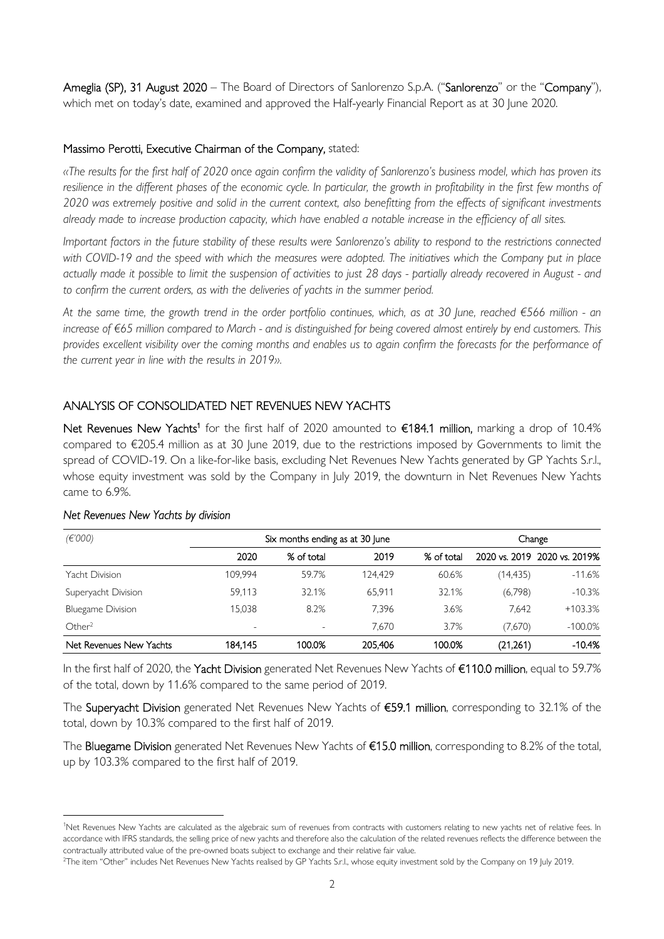Ameglia (SP), 31 August 2020 – The Board of Directors of Sanlorenzo S.p.A. ("Sanlorenzo" or the "Company"), which met on today's date, examined and approved the Half-yearly Financial Report as at 30 June 2020.

#### Massimo Perotti, Executive Chairman of the Company, stated:

*«The results for the first half of 2020 once again confirm the validity of Sanlorenzo's business model, which has proven its resilience in the different phases of the economic cycle. In particular, the growth in profitability in the first few months of 2020 was extremely positive and solid in the current context, also benefitting from the effects of significant investments already made to increase production capacity, which have enabled a notable increase in the efficiency of all sites.* 

*Important factors in the future stability of these results were Sanlorenzo's ability to respond to the restrictions connected with COVID-19 and the speed with which the measures were adopted. The initiatives which the Company put in place actually made it possible to limit the suspension of activities to just 28 days - partially already recovered in August - and to confirm the current orders, as with the deliveries of yachts in the summer period.* 

*At the same time, the growth trend in the order portfolio continues, which, as at 30 June, reached €566 million - an increase of €65 million compared to March - and is distinguished for being covered almost entirely by end customers. This provides excellent visibility over the coming months and enables us to again confirm the forecasts for the performance of the current year in line with the results in 2019».* 

#### ANALYSIS OF CONSOLIDATED NET REVENUES NEW YACHTS

Net Revenues New Yachts<sup>1</sup> for the first half of 2020 amounted to €184.1 million, marking a drop of 10.4% compared to €205.4 million as at 30 June 2019, due to the restrictions imposed by Governments to limit the spread of COVID-19. On a like-for-like basis, excluding Net Revenues New Yachts generated by GP Yachts S.r.l., whose equity investment was sold by the Company in July 2019, the downturn in Net Revenues New Yachts came to 6.9%.

| (E'000)                  | Six months ending as at 30 June |            |         | Change     |          |                              |
|--------------------------|---------------------------------|------------|---------|------------|----------|------------------------------|
|                          | 2020                            | % of total | 2019    | % of total |          | 2020 vs. 2019 2020 vs. 2019% |
| Yacht Division           | 109.994                         | 59.7%      | 124.429 | 60.6%      | (14,435) | $-11.6%$                     |
| Superyacht Division      | 59.113                          | 32.1%      | 65.911  | 32.1%      | (6,798)  | $-10.3%$                     |
| <b>Bluegame Division</b> | 15.038                          | 8.2%       | 7.396   | 3.6%       | 7.642    | $+103.3%$                    |
| Other <sup>2</sup>       | $\overline{\phantom{a}}$        |            | 7.670   | 3.7%       | (7,670)  | $-100.0\%$                   |
| Net Revenues New Yachts  | 184.145                         | 100.0%     | 205.406 | 100.0%     | (21,261) | $-10.4%$                     |

#### *Net Revenues New Yachts by division*

In the first half of 2020, the Yacht Division generated Net Revenues New Yachts of €110.0 million, equal to 59.7% of the total, down by 11.6% compared to the same period of 2019.

The Superyacht Division generated Net Revenues New Yachts of €59.1 million, corresponding to 32.1% of the total, down by 10.3% compared to the first half of 2019.

The Bluegame Division generated Net Revenues New Yachts of €15.0 million, corresponding to 8.2% of the total, up by 103.3% compared to the first half of 2019.

<sup>&</sup>lt;sup>1</sup>Net Revenues New Yachts are calculated as the algebraic sum of revenues from contracts with customers relating to new yachts net of relative fees. In accordance with IFRS standards, the selling price of new yachts and therefore also the calculation of the related revenues reflects the difference between the contractually attributed value of the pre-owned boats subject to exchange and their relative fair value.

<sup>&</sup>lt;sup>2</sup>The item "Other" includes Net Revenues New Yachts realised by GP Yachts S.r.l., whose equity investment sold by the Company on 19 July 2019.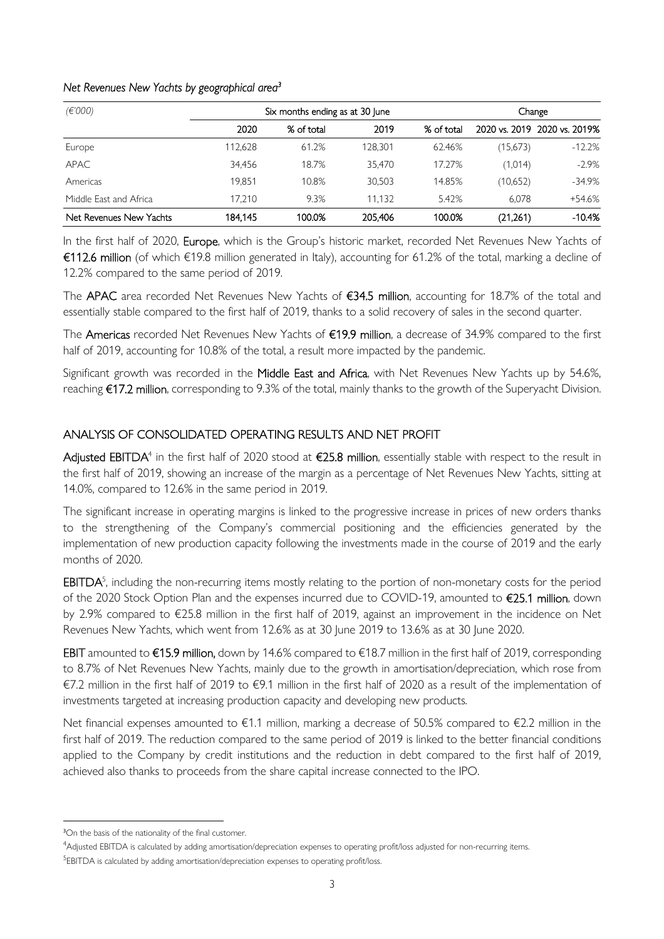#### *Net Revenues New Yachts by geographical area<sup>3</sup>*

| (E'000)                 | Six months ending as at 30 June |            |         | Change     |          |                              |
|-------------------------|---------------------------------|------------|---------|------------|----------|------------------------------|
|                         | 2020                            | % of total | 2019    | % of total |          | 2020 vs. 2019 2020 vs. 2019% |
| Europe                  | 112.628                         | 61.2%      | 128.301 | 62.46%     | (15,673) | $-12.2%$                     |
| <b>APAC</b>             | 34.456                          | 18.7%      | 35.470  | 17.27%     | (1,014)  | $-2.9\%$                     |
| Americas                | 19.851                          | 10.8%      | 30,503  | 14.85%     | (10,652) | $-34.9%$                     |
| Middle East and Africa  | 17.210                          | 9.3%       | 11.132  | 5.42%      | 6.078    | +54.6%                       |
| Net Revenues New Yachts | 184.145                         | 100.0%     | 205,406 | 100.0%     | (21,261) | $-10.4%$                     |

In the first half of 2020, Europe, which is the Group's historic market, recorded Net Revenues New Yachts of €112.6 million (of which €19.8 million generated in Italy), accounting for 61.2% of the total, marking a decline of 12.2% compared to the same period of 2019.

The APAC area recorded Net Revenues New Yachts of €34.5 million, accounting for 18.7% of the total and essentially stable compared to the first half of 2019, thanks to a solid recovery of sales in the second quarter.

The Americas recorded Net Revenues New Yachts of €19.9 million, a decrease of 34.9% compared to the first half of 2019, accounting for 10.8% of the total, a result more impacted by the pandemic.

Significant growth was recorded in the Middle East and Africa, with Net Revenues New Yachts up by 54.6%, reaching €17.2 million, corresponding to 9.3% of the total, mainly thanks to the growth of the Superyacht Division.

#### ANALYSIS OF CONSOLIDATED OPERATING RESULTS AND NET PROFIT

**Adjusted EBITDA**<sup>4</sup> in the first half of 2020 stood at €25.8 million, essentially stable with respect to the result in the first half of 2019, showing an increase of the margin as a percentage of Net Revenues New Yachts, sitting at 14.0%, compared to 12.6% in the same period in 2019.

The significant increase in operating margins is linked to the progressive increase in prices of new orders thanks to the strengthening of the Company's commercial positioning and the efficiencies generated by the implementation of new production capacity following the investments made in the course of 2019 and the early months of 2020.

 $EBITDA<sup>5</sup>$ , including the non-recurring items mostly relating to the portion of non-monetary costs for the period of the 2020 Stock Option Plan and the expenses incurred due to COVID-19, amounted to €25.1 million, down by 2.9% compared to €25.8 million in the first half of 2019, against an improvement in the incidence on Net Revenues New Yachts, which went from 12.6% as at 30 June 2019 to 13.6% as at 30 June 2020.

**EBIT** amounted to €15.9 million, down by 14.6% compared to €18.7 million in the first half of 2019, corresponding to 8.7% of Net Revenues New Yachts, mainly due to the growth in amortisation/depreciation, which rose from €7.2 million in the first half of 2019 to €9.1 million in the first half of 2020 as a result of the implementation of investments targeted at increasing production capacity and developing new products.

Net financial expenses amounted to €1.1 million, marking a decrease of 50.5% compared to €2.2 million in the first half of 2019. The reduction compared to the same period of 2019 is linked to the better financial conditions applied to the Company by credit institutions and the reduction in debt compared to the first half of 2019, achieved also thanks to proceeds from the share capital increase connected to the IPO.

<sup>&</sup>lt;sup>3</sup>On the basis of the nationality of the final customer.

<sup>4</sup>Adjusted EBITDA is calculated by adding amortisation/depreciation expenses to operating profit/loss adjusted for non-recurring items.

<sup>&</sup>lt;sup>5</sup>EBITDA is calculated by adding amortisation/depreciation expenses to operating profit/loss.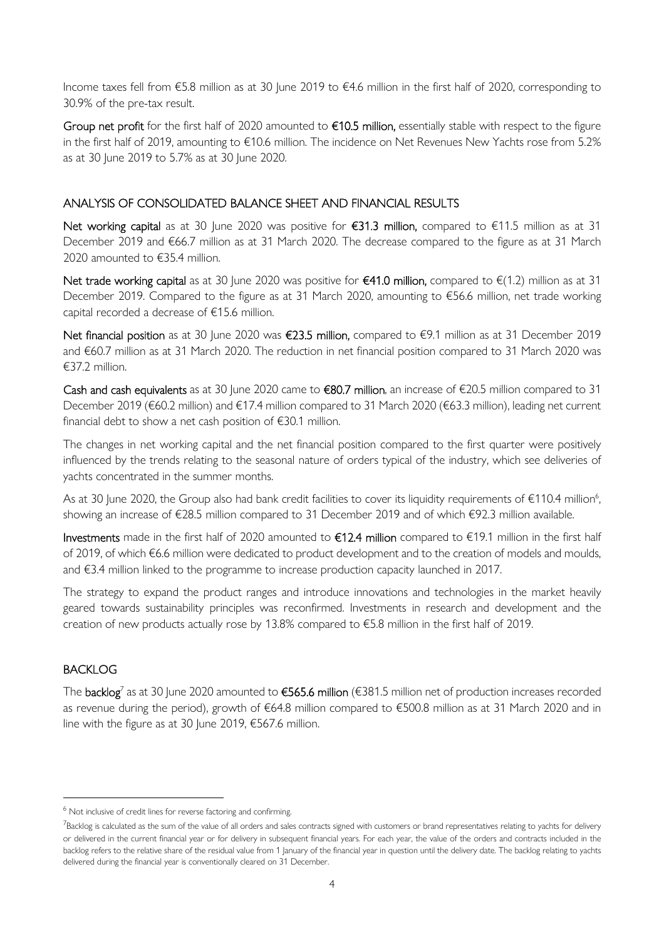Income taxes fell from €5.8 million as at 30 June 2019 to €4.6 million in the first half of 2020, corresponding to 30.9% of the pre-tax result.

Group net profit for the first half of 2020 amounted to €10.5 million, essentially stable with respect to the figure in the first half of 2019, amounting to €10.6 million. The incidence on Net Revenues New Yachts rose from 5.2% as at 30 June 2019 to 5.7% as at 30 June 2020.

### ANALYSIS OF CONSOLIDATED BALANCE SHEET AND FINANCIAL RESULTS

Net working capital as at 30 June 2020 was positive for €31.3 million, compared to €11.5 million as at 31 December 2019 and €66.7 million as at 31 March 2020. The decrease compared to the figure as at 31 March 2020 amounted to €35.4 million.

Net trade working capital as at 30 June 2020 was positive for €41.0 million, compared to €(1.2) million as at 31 December 2019. Compared to the figure as at 31 March 2020, amounting to €56.6 million, net trade working capital recorded a decrease of €15.6 million.

Net financial position as at 30 June 2020 was €23.5 million, compared to €9.1 million as at 31 December 2019 and €60.7 million as at 31 March 2020. The reduction in net financial position compared to 31 March 2020 was €37.2 million.

Cash and cash equivalents as at 30 June 2020 came to €80.7 million, an increase of €20.5 million compared to 31 December 2019 (€60.2 million) and €17.4 million compared to 31 March 2020 (€63.3 million), leading net current financial debt to show a net cash position of €30.1 million.

The changes in net working capital and the net financial position compared to the first quarter were positively influenced by the trends relating to the seasonal nature of orders typical of the industry, which see deliveries of yachts concentrated in the summer months.

As at 30 June 2020, the Group also had bank credit facilities to cover its liquidity requirements of  $\in$ 110.4 million<sup>6</sup>, showing an increase of €28.5 million compared to 31 December 2019 and of which €92.3 million available.

Investments made in the first half of 2020 amounted to €12.4 million compared to €19.1 million in the first half of 2019, of which €6.6 million were dedicated to product development and to the creation of models and moulds, and €3.4 million linked to the programme to increase production capacity launched in 2017.

The strategy to expand the product ranges and introduce innovations and technologies in the market heavily geared towards sustainability principles was reconfirmed. Investments in research and development and the creation of new products actually rose by 13.8% compared to €5.8 million in the first half of 2019.

#### BACKLOG

The  $\rm{background}$  as at 30 June 2020 amounted to €565.6 million (€381.5 million net of production increases recorded as revenue during the period), growth of €64.8 million compared to €500.8 million as at 31 March 2020 and in line with the figure as at 30 June 2019, €567.6 million.

<sup>&</sup>lt;sup>6</sup> Not inclusive of credit lines for reverse factoring and confirming.

<sup>&</sup>lt;sup>7</sup>Backlog is calculated as the sum of the value of all orders and sales contracts signed with customers or brand representatives relating to yachts for delivery or delivered in the current financial year or for delivery in subsequent financial years. For each year, the value of the orders and contracts included in the backlog refers to the relative share of the residual value from 1 January of the financial year in question until the delivery date. The backlog relating to yachts delivered during the financial year is conventionally cleared on 31 December.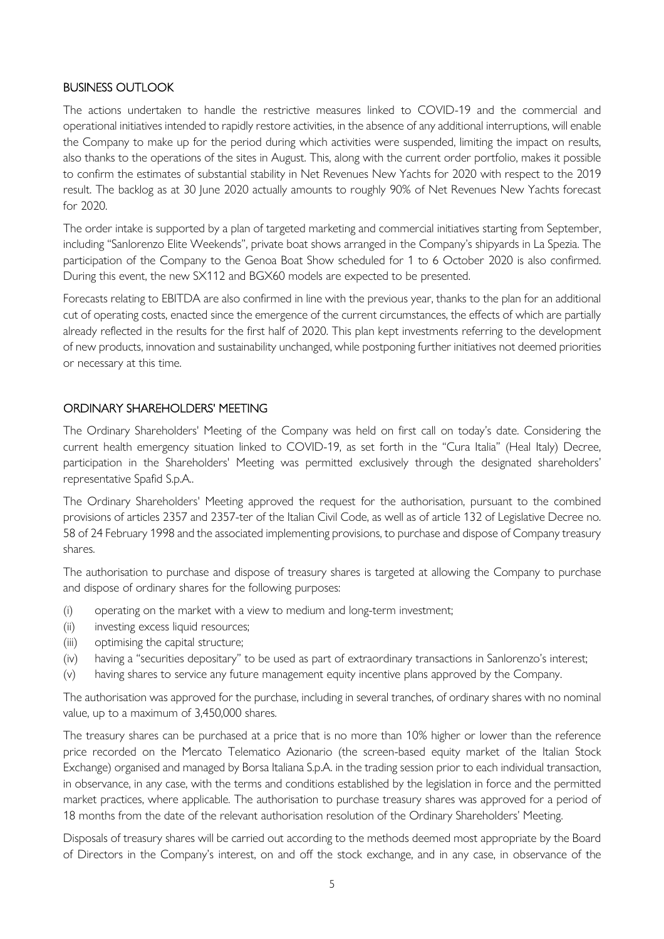#### BUSINESS OUTLOOK

The actions undertaken to handle the restrictive measures linked to COVID-19 and the commercial and operational initiatives intended to rapidly restore activities, in the absence of any additional interruptions, will enable the Company to make up for the period during which activities were suspended, limiting the impact on results, also thanks to the operations of the sites in August. This, along with the current order portfolio, makes it possible to confirm the estimates of substantial stability in Net Revenues New Yachts for 2020 with respect to the 2019 result. The backlog as at 30 June 2020 actually amounts to roughly 90% of Net Revenues New Yachts forecast for 2020.

The order intake is supported by a plan of targeted marketing and commercial initiatives starting from September, including "Sanlorenzo Elite Weekends", private boat shows arranged in the Company's shipyards in La Spezia. The participation of the Company to the Genoa Boat Show scheduled for 1 to 6 October 2020 is also confirmed. During this event, the new SX112 and BGX60 models are expected to be presented.

Forecasts relating to EBITDA are also confirmed in line with the previous year, thanks to the plan for an additional cut of operating costs, enacted since the emergence of the current circumstances, the effects of which are partially already reflected in the results for the first half of 2020. This plan kept investments referring to the development of new products, innovation and sustainability unchanged, while postponing further initiatives not deemed priorities or necessary at this time.

#### ORDINARY SHAREHOLDERS' MEETING

The Ordinary Shareholders' Meeting of the Company was held on first call on today's date. Considering the current health emergency situation linked to COVID-19, as set forth in the "Cura Italia" (Heal Italy) Decree, participation in the Shareholders' Meeting was permitted exclusively through the designated shareholders' representative Spafid S.p.A..

The Ordinary Shareholders' Meeting approved the request for the authorisation, pursuant to the combined provisions of articles 2357 and 2357-ter of the Italian Civil Code, as well as of article 132 of Legislative Decree no. 58 of 24 February 1998 and the associated implementing provisions, to purchase and dispose of Company treasury shares.

The authorisation to purchase and dispose of treasury shares is targeted at allowing the Company to purchase and dispose of ordinary shares for the following purposes:

- (i) operating on the market with a view to medium and long-term investment;
- (ii) investing excess liquid resources;
- (iii) optimising the capital structure;
- (iv) having a "securities depositary" to be used as part of extraordinary transactions in Sanlorenzo's interest;
- (v) having shares to service any future management equity incentive plans approved by the Company.

The authorisation was approved for the purchase, including in several tranches, of ordinary shares with no nominal value, up to a maximum of 3,450,000 shares.

The treasury shares can be purchased at a price that is no more than 10% higher or lower than the reference price recorded on the Mercato Telematico Azionario (the screen-based equity market of the Italian Stock Exchange) organised and managed by Borsa Italiana S.p.A. in the trading session prior to each individual transaction, in observance, in any case, with the terms and conditions established by the legislation in force and the permitted market practices, where applicable. The authorisation to purchase treasury shares was approved for a period of 18 months from the date of the relevant authorisation resolution of the Ordinary Shareholders' Meeting.

Disposals of treasury shares will be carried out according to the methods deemed most appropriate by the Board of Directors in the Company's interest, on and off the stock exchange, and in any case, in observance of the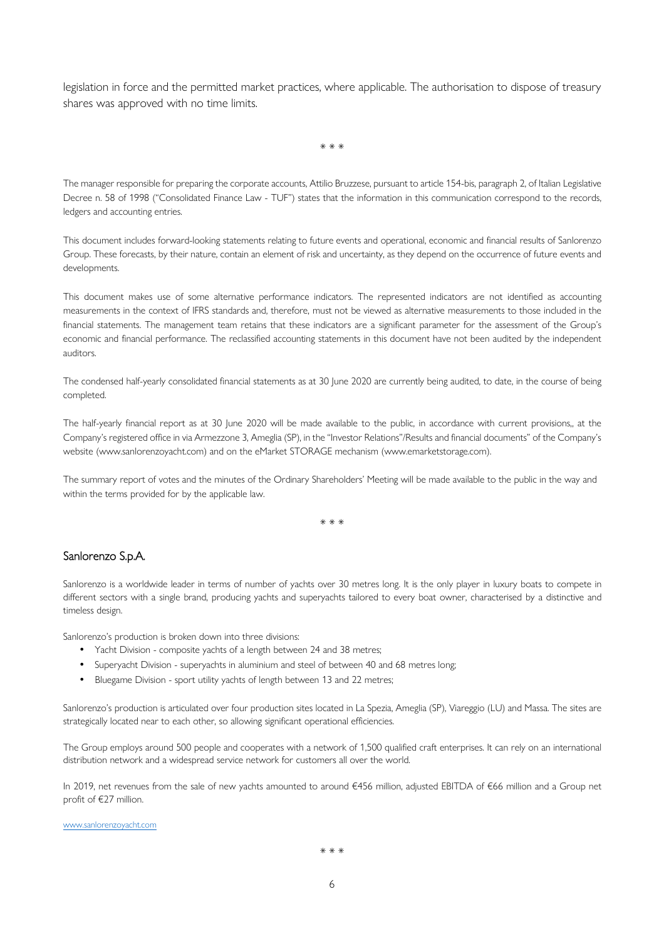legislation in force and the permitted market practices, where applicable. The authorisation to dispose of treasury shares was approved with no time limits.

\* \* \*

The manager responsible for preparing the corporate accounts, Attilio Bruzzese, pursuant to article 154-bis, paragraph 2, of Italian Legislative Decree n. 58 of 1998 ("Consolidated Finance Law - TUF") states that the information in this communication correspond to the records, ledgers and accounting entries.

This document includes forward-looking statements relating to future events and operational, economic and financial results of Sanlorenzo Group. These forecasts, by their nature, contain an element of risk and uncertainty, as they depend on the occurrence of future events and developments.

This document makes use of some alternative performance indicators. The represented indicators are not identified as accounting measurements in the context of IFRS standards and, therefore, must not be viewed as alternative measurements to those included in the financial statements. The management team retains that these indicators are a significant parameter for the assessment of the Group's economic and financial performance. The reclassified accounting statements in this document have not been audited by the independent auditors.

The condensed half-yearly consolidated financial statements as at 30 June 2020 are currently being audited, to date, in the course of being completed.

The half-yearly financial report as at 30 June 2020 will be made available to the public, in accordance with current provisions,, at the Company's registered office in via Armezzone 3, Ameglia (SP), in the "Investor Relations"/Results and financial documents" of the Company's website (www.sanlorenzoyacht.com) and on the eMarket STORAGE mechanism (www.emarketstorage.com).

The summary report of votes and the minutes of the Ordinary Shareholders' Meeting will be made available to the public in the way and within the terms provided for by the applicable law.

\* \* \*

#### Sanlorenzo S.p.A.

Sanlorenzo is a worldwide leader in terms of number of yachts over 30 metres long. It is the only player in luxury boats to compete in different sectors with a single brand, producing yachts and superyachts tailored to every boat owner, characterised by a distinctive and timeless design.

Sanlorenzo's production is broken down into three divisions:

- Yacht Division composite yachts of a length between 24 and 38 metres;
- Superyacht Division superyachts in aluminium and steel of between 40 and 68 metres long;
- Bluegame Division sport utility yachts of length between 13 and 22 metres;

Sanlorenzo's production is articulated over four production sites located in La Spezia, Ameglia (SP), Viareggio (LU) and Massa. The sites are strategically located near to each other, so allowing significant operational efficiencies.

The Group employs around 500 people and cooperates with a network of 1,500 qualified craft enterprises. It can rely on an international distribution network and a widespread service network for customers all over the world.

In 2019, net revenues from the sale of new yachts amounted to around €456 million, adjusted EBITDA of €66 million and a Group net profit of €27 million.

www.sanlorenzoyacht.com

\* \* \*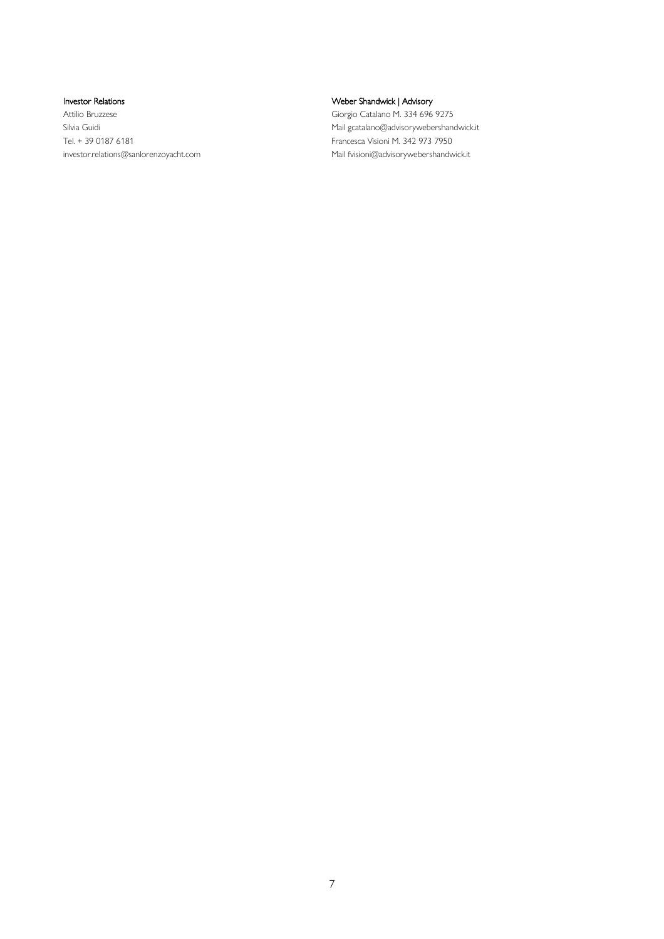Investor Relations

Attilio Bruzzese Silvia Guidi Tel. + 39 0187 6181 investor.relations@sanlorenzoyacht.com Weber Shandwick | Advisory Giorgio Catalano M. 334 696 9275 Mail gcatalano@advisorywebershandwick.it Francesca Visioni M. 342 973 7950 Mail fvisioni@advisorywebershandwick.it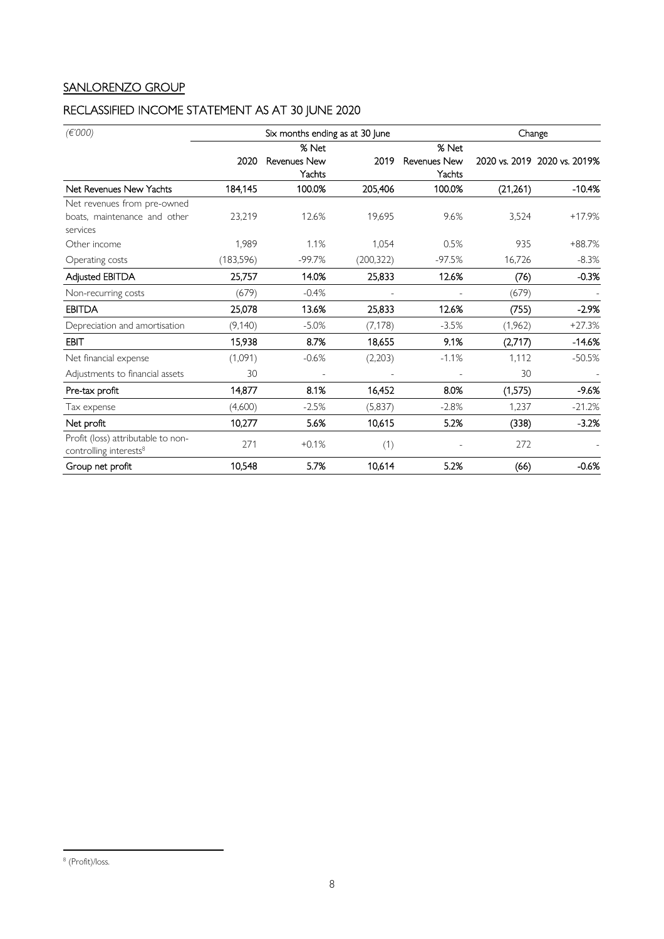## SANLORENZO GROUP

## RECLASSIFIED INCOME STATEMENT AS AT 30 JUNE 2020

| (E'000)                                                                  |            | Six months ending as at 30 June | Change     |                          |           |                              |
|--------------------------------------------------------------------------|------------|---------------------------------|------------|--------------------------|-----------|------------------------------|
|                                                                          |            | % Net                           |            | % Net                    |           |                              |
|                                                                          | 2020       | <b>Revenues New</b>             | 2019       | <b>Revenues New</b>      |           | 2020 vs. 2019 2020 vs. 2019% |
|                                                                          |            | Yachts                          |            | Yachts                   |           |                              |
| Net Revenues New Yachts                                                  | 184,145    | 100.0%                          | 205,406    | 100.0%                   | (21, 261) | $-10.4%$                     |
| Net revenues from pre-owned                                              |            |                                 |            |                          |           |                              |
| boats, maintenance and other                                             | 23,219     | 12.6%                           | 19,695     | 9.6%                     | 3,524     | $+17.9%$                     |
| services                                                                 |            |                                 |            |                          |           |                              |
| Other income                                                             | 1.989      | 1.1%                            | 1,054      | 0.5%                     | 935       | +88.7%                       |
| Operating costs                                                          | (183, 596) | $-99.7%$                        | (200, 322) | $-97.5%$                 | 16,726    | $-8.3%$                      |
| Adjusted EBITDA                                                          | 25,757     | 14.0%                           | 25,833     | 12.6%                    | (76)      | $-0.3%$                      |
| Non-recurring costs                                                      | (679)      | $-0.4%$                         |            | $\overline{\phantom{a}}$ | (679)     |                              |
| <b>EBITDA</b>                                                            | 25,078     | 13.6%                           | 25,833     | 12.6%                    | (755)     | $-2.9%$                      |
| Depreciation and amortisation                                            | (9,140)    | $-5.0%$                         | (7, 178)   | $-3.5%$                  | (1,962)   | $+27.3%$                     |
| <b>EBIT</b>                                                              | 15,938     | 8.7%                            | 18,655     | 9.1%                     | (2,717)   | $-14.6%$                     |
| Net financial expense                                                    | (1,091)    | $-0.6%$                         | (2,203)    | $-1.1%$                  | 1,112     | $-50.5%$                     |
| Adjustments to financial assets                                          | 30         |                                 |            |                          | 30        |                              |
| Pre-tax profit                                                           | 14,877     | 8.1%                            | 16,452     | 8.0%                     | (1,575)   | $-9.6%$                      |
| Tax expense                                                              | (4,600)    | $-2.5%$                         | (5, 837)   | $-2.8%$                  | 1,237     | $-21.2%$                     |
| Net profit                                                               | 10,277     | 5.6%                            | 10,615     | 5.2%                     | (338)     | $-3.2%$                      |
| Profit (loss) attributable to non-<br>controlling interests <sup>8</sup> | 271        | $+0.1%$                         | (1)        |                          | 272       |                              |
| Group net profit                                                         | 10,548     | 5.7%                            | 10,614     | 5.2%                     | (66)      | $-0.6%$                      |

<sup>&</sup>lt;sup>8</sup> (Profit)/loss.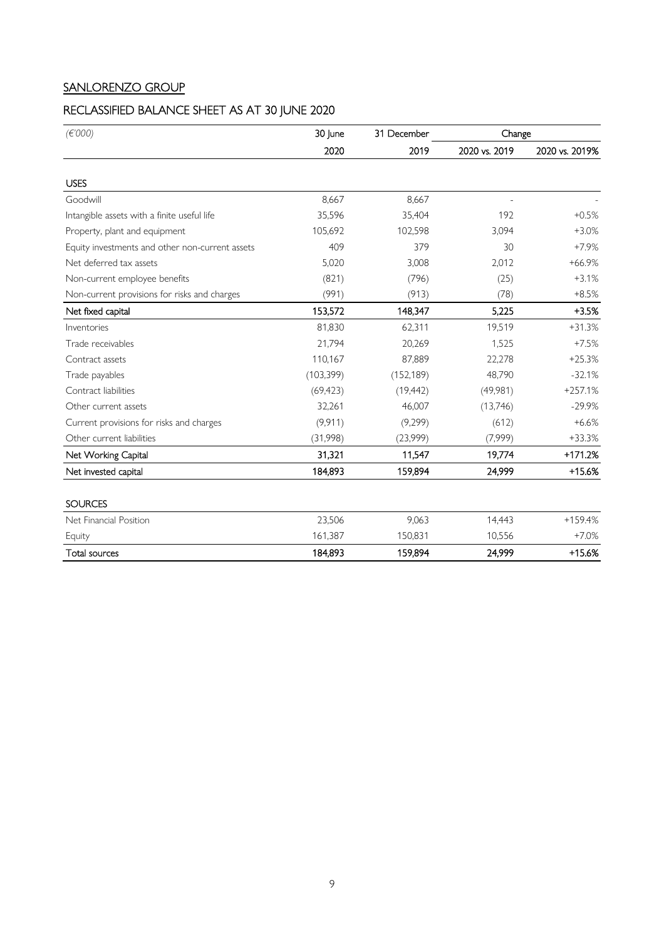## SANLORENZO GROUP

## RECLASSIFIED BALANCE SHEET AS AT 30 JUNE 2020

| (E'000)                                         | 30 June    | 31 December | Change        |                |  |
|-------------------------------------------------|------------|-------------|---------------|----------------|--|
|                                                 | 2020       | 2019        | 2020 vs. 2019 | 2020 vs. 2019% |  |
| <b>USES</b>                                     |            |             |               |                |  |
| Goodwill                                        | 8,667      | 8,667       |               |                |  |
| Intangible assets with a finite useful life     | 35,596     | 35,404      | 192           | $+0.5%$        |  |
| Property, plant and equipment                   | 105,692    | 102,598     | 3,094         | $+3.0%$        |  |
| Equity investments and other non-current assets | 409        | 379         | 30            | $+7.9%$        |  |
| Net deferred tax assets                         | 5,020      | 3,008       | 2,012         | $+66.9%$       |  |
| Non-current employee benefits                   | (821)      | (796)       | (25)          | $+3.1%$        |  |
| Non-current provisions for risks and charges    | (991)      | (913)       | (78)          | $+8.5%$        |  |
| Net fixed capital                               | 153,572    | 148,347     | 5,225         | $+3.5%$        |  |
| Inventories                                     | 81,830     | 62,311      | 19,519        | $+31.3%$       |  |
| Trade receivables                               | 21,794     | 20,269      | 1,525         | $+7.5%$        |  |
| Contract assets                                 | 110,167    | 87,889      | 22,278        | $+25.3%$       |  |
| Trade payables                                  | (103, 399) | (152, 189)  | 48,790        | $-32.1%$       |  |
| Contract liabilities                            | (69, 423)  | (19, 442)   | (49,981)      | $+257.1%$      |  |
| Other current assets                            | 32,261     | 46,007      | (13,746)      | $-29.9%$       |  |
| Current provisions for risks and charges        | (9,911)    | (9,299)     | (612)         | $+6.6%$        |  |
| Other current liabilities                       | (31,998)   | (23,999)    | (7,999)       | $+33.3%$       |  |
| Net Working Capital                             | 31,321     | 11,547      | 19,774        | +171.2%        |  |
| Net invested capital                            | 184,893    | 159,894     | 24,999        | $+15.6%$       |  |
| <b>SOURCES</b>                                  |            |             |               |                |  |
| Net Financial Position                          | 23,506     | 9,063       | 14,443        | +159.4%        |  |
| Equity                                          | 161,387    | 150,831     | 10,556        | $+7.0%$        |  |
| <b>Total sources</b>                            | 184,893    | 159,894     | 24,999        | +15.6%         |  |